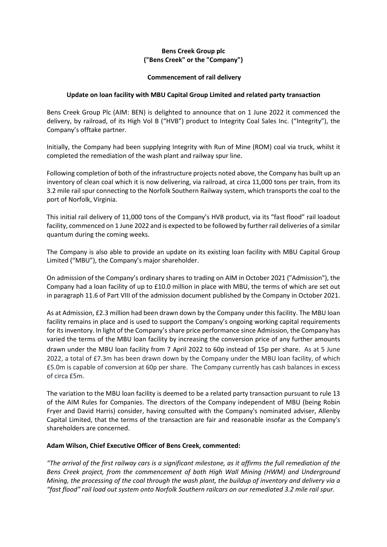# **Bens Creek Group plc ("Bens Creek" or the "Company")**

## **Commencement of rail delivery**

# **Update on loan facility with MBU Capital Group Limited and related party transaction**

Bens Creek Group Plc (AIM: BEN) is delighted to announce that on 1 June 2022 it commenced the delivery, by railroad, of its High Vol B ("HVB") product to Integrity Coal Sales Inc. ("Integrity"), the Company's offtake partner.

Initially, the Company had been supplying Integrity with Run of Mine (ROM) coal via truck, whilst it completed the remediation of the wash plant and railway spur line.

Following completion of both of the infrastructure projects noted above, the Company has built up an inventory of clean coal which it is now delivering, via railroad, at circa 11,000 tons per train, from its 3.2 mile rail spur connecting to the Norfolk Southern Railway system, which transports the coal to the port of Norfolk, Virginia.

This initial rail delivery of 11,000 tons of the Company's HVB product, via its "fast flood" rail loadout facility, commenced on 1 June 2022 and is expected to be followed by further rail deliveries of a similar quantum during the coming weeks.

The Company is also able to provide an update on its existing loan facility with MBU Capital Group Limited ("MBU"), the Company's major shareholder.

On admission of the Company's ordinary shares to trading on AIM in October 2021 ("Admission"), the Company had a loan facility of up to £10.0 million in place with MBU, the terms of which are set out in paragraph 11.6 of Part VIII of the admission document published by the Company in October 2021.

As at Admission, £2.3 million had been drawn down by the Company under this facility. The MBU loan facility remains in place and is used to support the Company's ongoing working capital requirements for its inventory. In light of the Company's share price performance since Admission, the Company has varied the terms of the MBU loan facility by increasing the conversion price of any further amounts drawn under the MBU loan facility from 7 April 2022 to 60p instead of 15p per share. As at 5 June 2022, a total of £7.3m has been drawn down by the Company under the MBU loan facility, of which £5.0m is capable of conversion at 60p per share. The Company currently has cash balances in excess of circa £5m.

The variation to the MBU loan facility is deemed to be a related party transaction pursuant to rule 13 of the AIM Rules for Companies. The directors of the Company independent of MBU (being Robin Fryer and David Harris) consider, having consulted with the Company's nominated adviser, Allenby Capital Limited, that the terms of the transaction are fair and reasonable insofar as the Company's shareholders are concerned.

## **Adam Wilson, Chief Executive Officer of Bens Creek, commented:**

*"The arrival of the first railway cars is a significant milestone, as it affirms the full remediation of the Bens Creek project, from the commencement of both High Wall Mining (HWM) and Underground Mining, the processing of the coal through the wash plant, the buildup of inventory and delivery via a "fast flood" rail load out system onto Norfolk Southern railcars on our remediated 3.2 mile rail spur.*